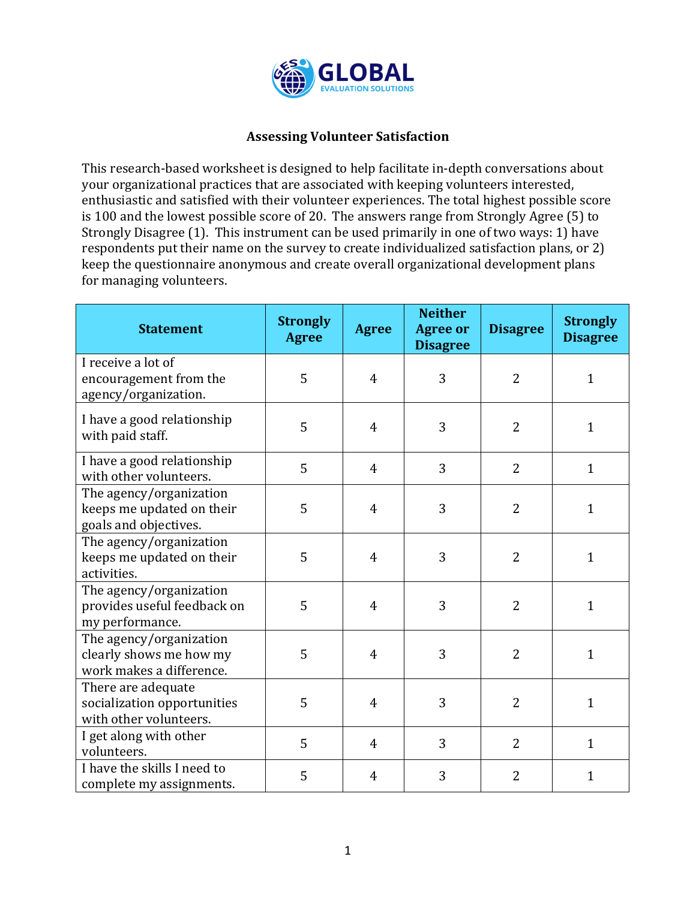

## **Assessing Volunteer Satisfaction**

This research-based worksheet is designed to help facilitate in-depth conversations about your organizational practices that are associated with keeping volunteers interested, enthusiastic and satisfied with their volunteer experiences. The total highest possible score is 100 and the lowest possible score of 20. The answers range from Strongly Agree  $(5)$  to Strongly Disagree  $(1)$ . This instrument can be used primarily in one of two ways: 1) have respondents put their name on the survey to create individualized satisfaction plans, or 2) keep the questionnaire anonymous and create overall organizational development plans for managing volunteers.

| <b>Statement</b>                                                               | <b>Strongly</b><br><b>Agree</b> | <b>Agree</b>   | <b>Neither</b><br><b>Agree or</b><br><b>Disagree</b> | <b>Disagree</b> | <b>Strongly</b><br><b>Disagree</b> |
|--------------------------------------------------------------------------------|---------------------------------|----------------|------------------------------------------------------|-----------------|------------------------------------|
| I receive a lot of<br>encouragement from the<br>agency/organization.           | 5                               | 4              | 3                                                    | $\overline{2}$  | $\mathbf{1}$                       |
| I have a good relationship<br>with paid staff.                                 | 5                               | $\overline{4}$ | 3                                                    | $\overline{2}$  | $\mathbf{1}$                       |
| I have a good relationship<br>with other volunteers.                           | 5                               | $\overline{4}$ | 3                                                    | $\overline{2}$  | $\mathbf{1}$                       |
| The agency/organization<br>keeps me updated on their<br>goals and objectives.  | 5                               | 4              | 3                                                    | $\overline{2}$  | $\mathbf{1}$                       |
| The agency/organization<br>keeps me updated on their<br>activities.            | 5                               | $\overline{4}$ | 3                                                    | $\overline{2}$  | $\mathbf{1}$                       |
| The agency/organization<br>provides useful feedback on<br>my performance.      | 5                               | 4              | 3                                                    | $\overline{2}$  | $\mathbf{1}$                       |
| The agency/organization<br>clearly shows me how my<br>work makes a difference. | 5                               | $\overline{4}$ | 3                                                    | $\overline{2}$  | $\mathbf{1}$                       |
| There are adequate<br>socialization opportunities<br>with other volunteers.    | 5                               | $\overline{4}$ | 3                                                    | $\overline{2}$  | $\mathbf{1}$                       |
| I get along with other<br>volunteers.                                          | 5                               | $\overline{4}$ | 3                                                    | $\overline{2}$  | $\mathbf{1}$                       |
| I have the skills I need to<br>complete my assignments.                        | 5                               | 4              | 3                                                    | $\overline{2}$  | $\mathbf{1}$                       |